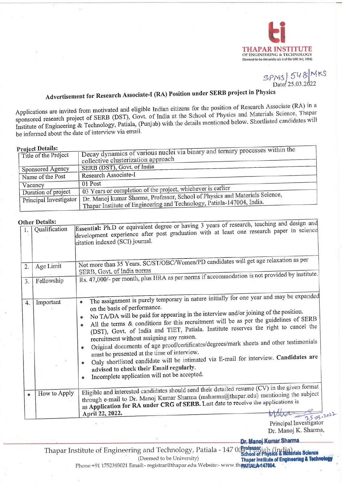

SPNS 548 MKS

 $11.4$ 

# Advertisement for Research Associate-I (RA) Position under SERB project in Physics

Applications are invited from motivated and eligible Indian citizens for the position of Research Associate (RA) in a sponsored research project of SERB (DST), Govt. of India at the School of Physics and Materials Science, Thapar Institute of Engineering & Technology, Patiala, (Punjab) with the details mentioned below. Shortlisted candidates will be informed about the date of interview via email.

#### **Droject Details**

| L'Internation          |                                                                                                                                                       |
|------------------------|-------------------------------------------------------------------------------------------------------------------------------------------------------|
| Title of the Project   | Decay dynamics of various nuclei via binary and ternary processes within the                                                                          |
|                        | collective clusterization approach                                                                                                                    |
| Sponsored Agency       | ' SERB (DST), Govt. of India                                                                                                                          |
| 'Name of the Post      | Research Associate-I                                                                                                                                  |
| Vacancy                | 01 Post                                                                                                                                               |
|                        | 03 Years or completion of the project, whichever is earlier                                                                                           |
| Duration of project    |                                                                                                                                                       |
| Principal Investigator | Dr. Manoj kumar Sharma, Professor, School of Physics and Materials Science,<br>Thapar Institute of Engineering and Technology, Patiala-147004, India. |
|                        |                                                                                                                                                       |

#### Other Details:

|           | Other Details:             |                                                                                                                                                                                                                                                                                                                                                                                                                                                                                                                                                                                                                                                                                                                     |
|-----------|----------------------------|---------------------------------------------------------------------------------------------------------------------------------------------------------------------------------------------------------------------------------------------------------------------------------------------------------------------------------------------------------------------------------------------------------------------------------------------------------------------------------------------------------------------------------------------------------------------------------------------------------------------------------------------------------------------------------------------------------------------|
| 1.        | Qualification              | Essential: Ph.D or equivalent degree or having 3 years of research, teaching and design and<br>development experience after post graduation with at least one research paper in science<br>citation indexed (SCI) journal.                                                                                                                                                                                                                                                                                                                                                                                                                                                                                          |
|           | Age Limit                  | Not more than 35 Years. SC/ST/OBC/Women/PD candidates will get age relaxation as per                                                                                                                                                                                                                                                                                                                                                                                                                                                                                                                                                                                                                                |
| 2.        | SERB, Govt. of India norms |                                                                                                                                                                                                                                                                                                                                                                                                                                                                                                                                                                                                                                                                                                                     |
| 3.        | Fellowship                 | Rs. 47,000/- per month, plus HRA as per norms if accommodation is not provided by institute.                                                                                                                                                                                                                                                                                                                                                                                                                                                                                                                                                                                                                        |
|           |                            | The assignment is purely temporary in nature initially for one year and may be expanded                                                                                                                                                                                                                                                                                                                                                                                                                                                                                                                                                                                                                             |
| 4.        | Important                  | ۰<br>on the basis of performance.<br>No TA/DA will be paid for appearing in the interview and/or joining of the position.<br>$\bullet$<br>All the terms & conditions for this recruitment will be as per the guidelines of SERB<br>$\bullet$<br>(DST), Govt. of India and TIET, Patiala. Institute reserves the right to cancel the<br>recruitment without assigning any reason.<br>Original documents of age proof/certificates/degrees/mark sheets and other testimonials<br>۰<br>must be presented at the time of interview.<br>Only shortlisted candidate will be intimated via E-mail for interview. Candidates are<br>advised to check their Email regularly.<br>Incomplete application will not be accepted. |
| $\bullet$ | How to Apply               | Eligible and interested candidates should send their detailed resume (CV) in the given format<br>through e-mail to Dr. Manoj Kumar Sharma (msharma@thapar.edu) mentioning the subject<br>as Application for RA under CRG of SERB. Last date to receive the applications is<br>April 22, 2022.<br>25.03.2022                                                                                                                                                                                                                                                                                                                                                                                                         |

Principal Investigator Dr. Manoj K. Sharma,

Dr. Manoj Kumar Sharma

Thapar Institute of Engineering and Technology, Patiala - 147 00 school of Physics & Madrials Science (Deemed to be University) **Thapar Institute of Engineering & Technology** Phone:+91 1752393021 Email:- registrar@thapar.edu Website:- www.thpATIAI\_A+147004.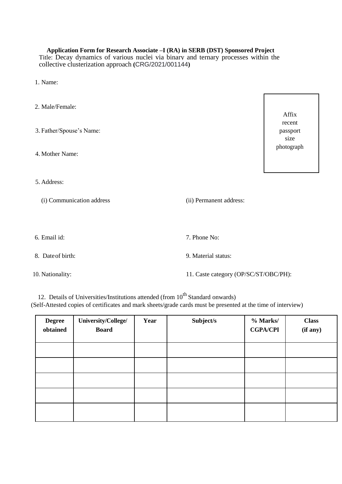#### **Application Form for Research Associate –I (RA) in SERB (DST) Sponsored Project**

Title: Decay dynamics of various nuclei via binary and ternary processes within the collective clusterization approach **(**CRG/2021/001144**)**

- 1. Name:
- 2. Male/Female: 3. Father/Spouse's Name: 4. Mother Name: 5. Address: (i) Communication address (ii) Permanent address: 6. Email id: 7. Phone No: 8. Dateof birth: 9. Material status: 10. Nationality: 11. Caste category (OP/SC/ST/OBC/PH): Affix recent passport size photograph

12. Details of Universities/Institutions attended (from  $10^{th}$  Standard onwards) (Self-Attested copies of certificates and mark sheets/grade cards must be presented at the time of interview)

| <b>Degree</b><br>obtained | University/College/<br><b>Board</b> | Year | Subject/s | % Marks/<br><b>CGPA/CPI</b> | <b>Class</b><br>(if any) |
|---------------------------|-------------------------------------|------|-----------|-----------------------------|--------------------------|
|                           |                                     |      |           |                             |                          |
|                           |                                     |      |           |                             |                          |
|                           |                                     |      |           |                             |                          |
|                           |                                     |      |           |                             |                          |
|                           |                                     |      |           |                             |                          |